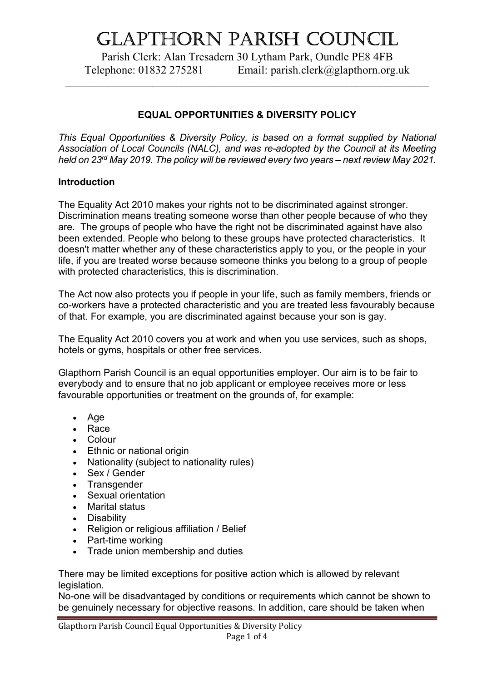# Glapthorn parish CounCil

Parish Clerk: Alan Tresadern 30 Lytham Park, Oundle PE8 4FB Telephone: 01832 275281 Email: parish.clerk@glapthorn.org.uk

 $\_$  , and the set of the set of the set of the set of the set of the set of the set of the set of the set of the set of the set of the set of the set of the set of the set of the set of the set of the set of the set of th

# EQUAL OPPORTUNITIES & DIVERSITY POLICY

This Equal Opportunities & Diversity Policy, is based on a format supplied by National Association of Local Councils (NALC), and was re-adopted by the Council at its Meeting held on 23rd May 2019. The policy will be reviewed every two years – next review May 2021.

#### Introduction

The Equality Act 2010 makes your rights not to be discriminated against stronger. Discrimination means treating someone worse than other people because of who they are. The groups of people who have the right not be discriminated against have also been extended. People who belong to these groups have protected characteristics. It doesn't matter whether any of these characteristics apply to you, or the people in your life, if you are treated worse because someone thinks you belong to a group of people with protected characteristics, this is discrimination.

The Act now also protects you if people in your life, such as family members, friends or co-workers have a protected characteristic and you are treated less favourably because of that. For example, you are discriminated against because your son is gay.

The Equality Act 2010 covers you at work and when you use services, such as shops, hotels or gyms, hospitals or other free services.

Glapthorn Parish Council is an equal opportunities employer. Our aim is to be fair to everybody and to ensure that no job applicant or employee receives more or less favourable opportunities or treatment on the grounds of, for example:

- Age
- Race
- Colour
- Ethnic or national origin
- Nationality (subject to nationality rules)
- Sex / Gender
- Transgender
- Sexual orientation
- Marital status
- Disability
- Religion or religious affiliation / Belief
- Part-time working
- Trade union membership and duties

There may be limited exceptions for positive action which is allowed by relevant legislation.

No-one will be disadvantaged by conditions or requirements which cannot be shown to be genuinely necessary for objective reasons. In addition, care should be taken when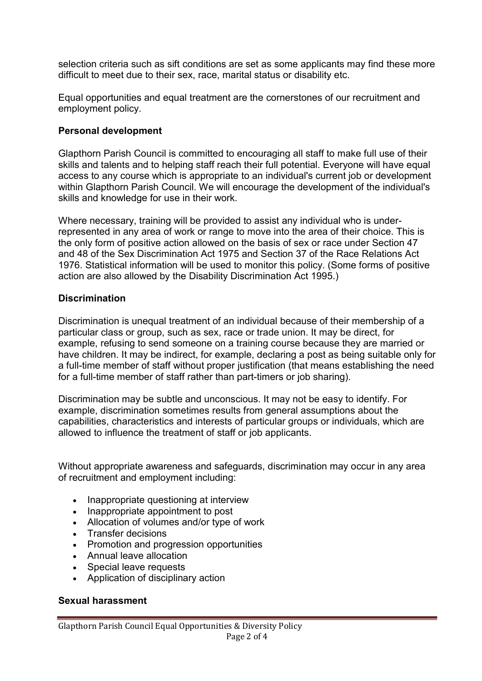selection criteria such as sift conditions are set as some applicants may find these more difficult to meet due to their sex, race, marital status or disability etc.

Equal opportunities and equal treatment are the cornerstones of our recruitment and employment policy.

#### Personal development

Glapthorn Parish Council is committed to encouraging all staff to make full use of their skills and talents and to helping staff reach their full potential. Everyone will have equal access to any course which is appropriate to an individual's current job or development within Glapthorn Parish Council. We will encourage the development of the individual's skills and knowledge for use in their work.

Where necessary, training will be provided to assist any individual who is underrepresented in any area of work or range to move into the area of their choice. This is the only form of positive action allowed on the basis of sex or race under Section 47 and 48 of the Sex Discrimination Act 1975 and Section 37 of the Race Relations Act 1976. Statistical information will be used to monitor this policy. (Some forms of positive action are also allowed by the Disability Discrimination Act 1995.)

#### **Discrimination**

Discrimination is unequal treatment of an individual because of their membership of a particular class or group, such as sex, race or trade union. It may be direct, for example, refusing to send someone on a training course because they are married or have children. It may be indirect, for example, declaring a post as being suitable only for a full-time member of staff without proper justification (that means establishing the need for a full-time member of staff rather than part-timers or job sharing).

Discrimination may be subtle and unconscious. It may not be easy to identify. For example, discrimination sometimes results from general assumptions about the capabilities, characteristics and interests of particular groups or individuals, which are allowed to influence the treatment of staff or job applicants.

Without appropriate awareness and safeguards, discrimination may occur in any area of recruitment and employment including:

- Inappropriate questioning at interview
- Inappropriate appointment to post
- Allocation of volumes and/or type of work
- Transfer decisions
- Promotion and progression opportunities
- Annual leave allocation
- Special leave requests
- Application of disciplinary action

#### Sexual harassment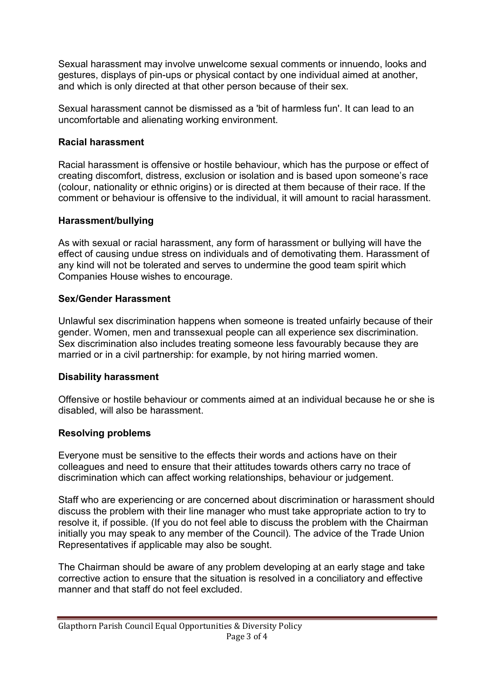Sexual harassment may involve unwelcome sexual comments or innuendo, looks and gestures, displays of pin-ups or physical contact by one individual aimed at another, and which is only directed at that other person because of their sex.

Sexual harassment cannot be dismissed as a 'bit of harmless fun'. It can lead to an uncomfortable and alienating working environment.

# Racial harassment

Racial harassment is offensive or hostile behaviour, which has the purpose or effect of creating discomfort, distress, exclusion or isolation and is based upon someone's race (colour, nationality or ethnic origins) or is directed at them because of their race. If the comment or behaviour is offensive to the individual, it will amount to racial harassment.

## Harassment/bullying

As with sexual or racial harassment, any form of harassment or bullying will have the effect of causing undue stress on individuals and of demotivating them. Harassment of any kind will not be tolerated and serves to undermine the good team spirit which Companies House wishes to encourage.

# Sex/Gender Harassment

Unlawful sex discrimination happens when someone is treated unfairly because of their gender. Women, men and transsexual people can all experience sex discrimination. Sex discrimination also includes treating someone less favourably because they are married or in a civil partnership: for example, by not hiring married women.

## Disability harassment

Offensive or hostile behaviour or comments aimed at an individual because he or she is disabled, will also be harassment.

# Resolving problems

Everyone must be sensitive to the effects their words and actions have on their colleagues and need to ensure that their attitudes towards others carry no trace of discrimination which can affect working relationships, behaviour or judgement.

Staff who are experiencing or are concerned about discrimination or harassment should discuss the problem with their line manager who must take appropriate action to try to resolve it, if possible. (If you do not feel able to discuss the problem with the Chairman initially you may speak to any member of the Council). The advice of the Trade Union Representatives if applicable may also be sought.

The Chairman should be aware of any problem developing at an early stage and take corrective action to ensure that the situation is resolved in a conciliatory and effective manner and that staff do not feel excluded.